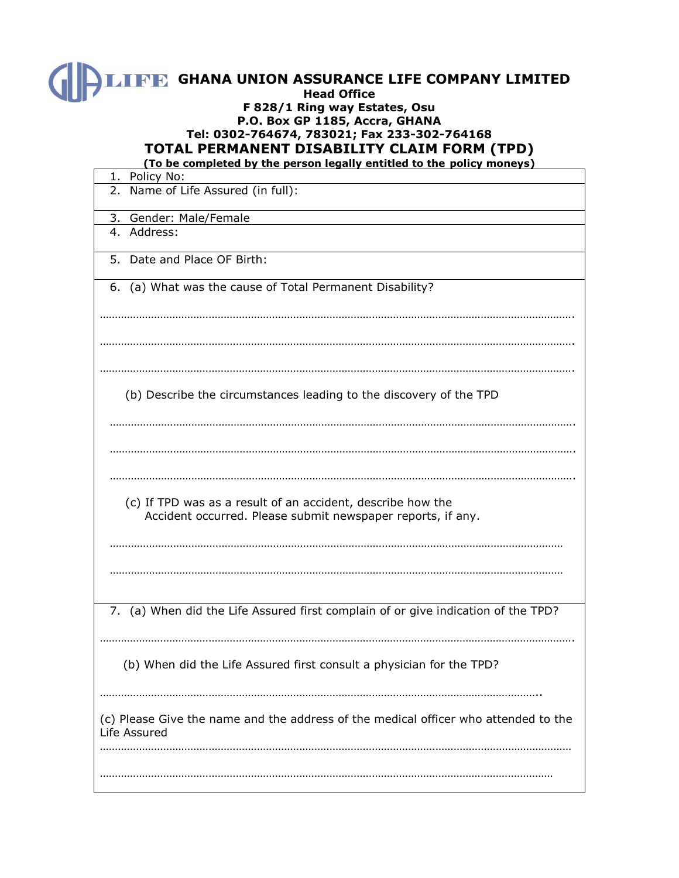| <b>IFF GHANA UNION ASSURANCE LIFE COMPANY LIMITED</b><br><b>Head Office</b><br>F 828/1 Ring way Estates, Osu<br>P.O. Box GP 1185, Accra, GHANA<br>Tel: 0302-764674, 783021; Fax 233-302-764168<br>TOTAL PERMANENT DISABILITY CLAIM FORM (TPD)<br>(To be completed by the person legally entitled to the policy moneys) |
|------------------------------------------------------------------------------------------------------------------------------------------------------------------------------------------------------------------------------------------------------------------------------------------------------------------------|
| 1. Policy No:                                                                                                                                                                                                                                                                                                          |
| 2. Name of Life Assured (in full):                                                                                                                                                                                                                                                                                     |
| 3. Gender: Male/Female                                                                                                                                                                                                                                                                                                 |
| 4. Address:                                                                                                                                                                                                                                                                                                            |
| 5. Date and Place OF Birth:                                                                                                                                                                                                                                                                                            |
| 6. (a) What was the cause of Total Permanent Disability?                                                                                                                                                                                                                                                               |
|                                                                                                                                                                                                                                                                                                                        |

………………………………………………………………………………………………………………………………………….

(b) Describe the circumstances leading to the discovery of the TPD

………………………………………………………………………………………………………………………………………….

……………………………………………………………………………………………………………………………………….

……………………………………………………………………………………………………………………………………….

……………………………………………………………………………………………………………………………………….

 (c) If TPD was as a result of an accident, describe how the Accident occurred. Please submit newspaper reports, if any.

…………………………………………………………………………………………………………………………………… ……………………………………………………………………………………………………………………………………

7. (a) When did the Life Assured first complain of or give indication of the TPD?

………………………………………………………………………………………………………………………………………….

(b) When did the Life Assured first consult a physician for the TPD?

………………………………………………………………………………………………………………………………..

……………………………………………………………………………………………………………………………………

(c) Please Give the name and the address of the medical officer who attended to the Life Assured …………………………………………………………………………………………………………………………………………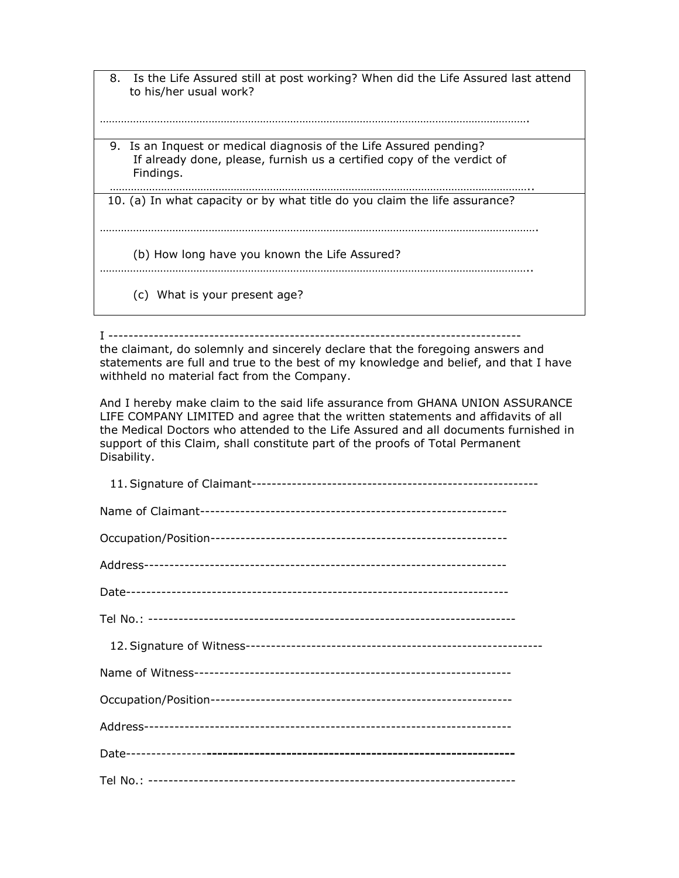8. Is the Life Assured still at post working? When did the Life Assured last attend to his/her usual work? ……………………………………………………………………………………………………………………………. 9. Is an Inquest or medical diagnosis of the Life Assured pending? If already done, please, furnish us a certified copy of the verdict of Findings. ………………………………………………………………………………………………………………………….. 10. (a) In what capacity or by what title do you claim the life assurance?

……………………………………………………………………………………………………………………………….

(b) How long have you known the Life Assured?

……………………………………………………………………………………………………………………………..

(c) What is your present age?

I ----------------------------------------------------------------------------------

the claimant, do solemnly and sincerely declare that the foregoing answers and statements are full and true to the best of my knowledge and belief, and that I have withheld no material fact from the Company.

And I hereby make claim to the said life assurance from GHANA UNION ASSURANCE LIFE COMPANY LIMITED and agree that the written statements and affidavits of all the Medical Doctors who attended to the Life Assured and all documents furnished in support of this Claim, shall constitute part of the proofs of Total Permanent Disability.